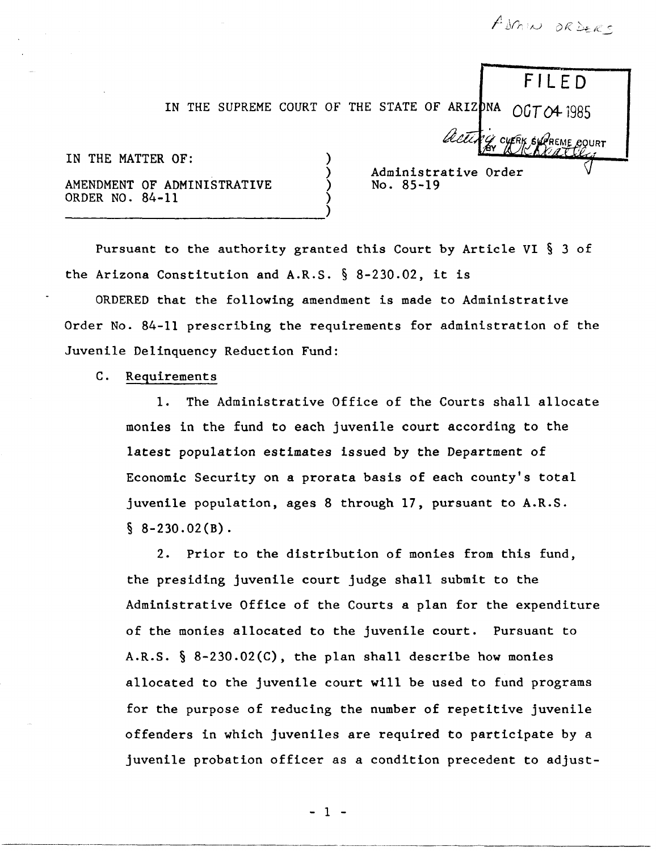ADMIN ORDERS

FILED

IN THE SUPREME COURT OF THE STATE OF ARIZONA  $OGTO4$  1985

acti

| IN THE MATTER OF: |                 |  |                             |  |
|-------------------|-----------------|--|-----------------------------|--|
|                   | ORDER NO. 84-11 |  | AMENDMENT OF ADMINISTRATIVE |  |
|                   |                 |  |                             |  |

Administrative No. 85-19

Pursuant to the authority granted this Court by Article VI § 3 of the Arizona Constitution and A.R.S. § 8-230.02, it is

ORDERED that the following amendment is made to Administrative Order No. 84-11 prescribing the requirements for administration of the Juvenile Delinquency Reduction Fund:

## C. Requirements

--- ---.---------.

1. The Administrative Office of the Courts shall allocate monies in the fund to each juvenile court according to the latest population estimates issued by the Department of Economic Security on a prorata basis of each county's total juvenile population, ages 8 through 17, pursuant to A.R.S.  $§ 8-230.02(B).$ 

2. Prior to the distribution of monies from this fund, the presiding juvenile court judge shall submit to the Administrative Office of the Courts a plan for the expenditure of the monies allocated to the juvenile court. Pursuant to A.R.S. § 8-230.02(C), the plan shall describe how monies allocated to the juvenile court will be used to fund programs for the purpose of reducing the number of repetitive juvenile offenders in which juveniles are required to participate by a juvenile probation officer as a condition precedent to adjust